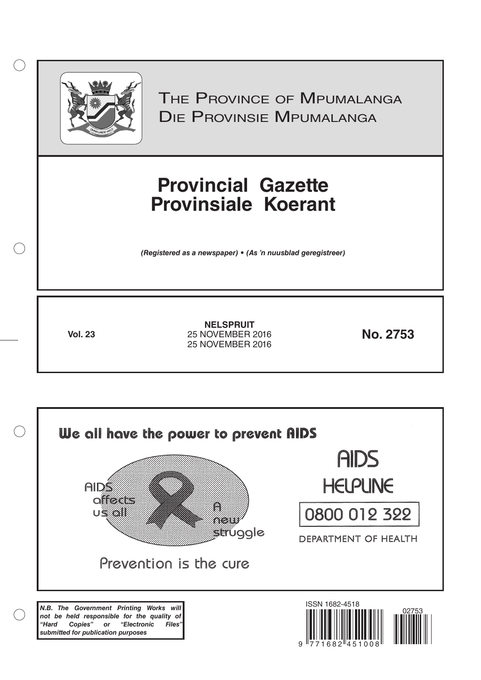

 $( )$ 

THE PROVINCE OF MPUMALANGA Die Provinsie Mpumalanga

# **Provincial Gazette Provinsiale Koerant**

*(Registered as a newspaper) • (As 'n nuusblad geregistreer)*

**Vol. 23 No. 2753** 25 NOVEMBER 2016 **NELSPRUIT** 25 NOVEMBER 2016

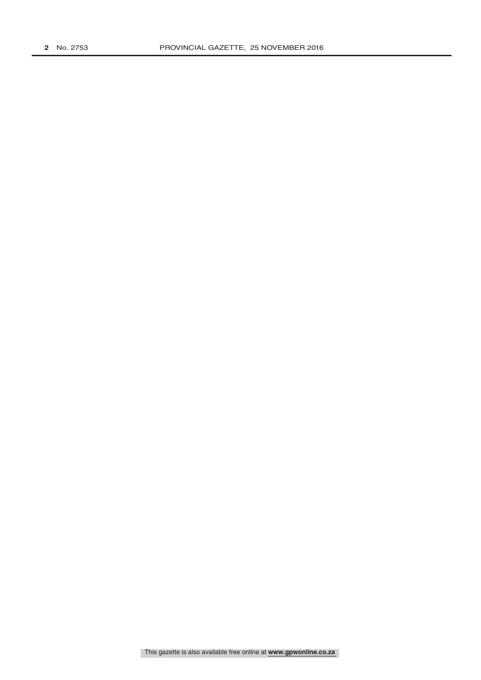This gazette is also available free online at **www.gpwonline.co.za**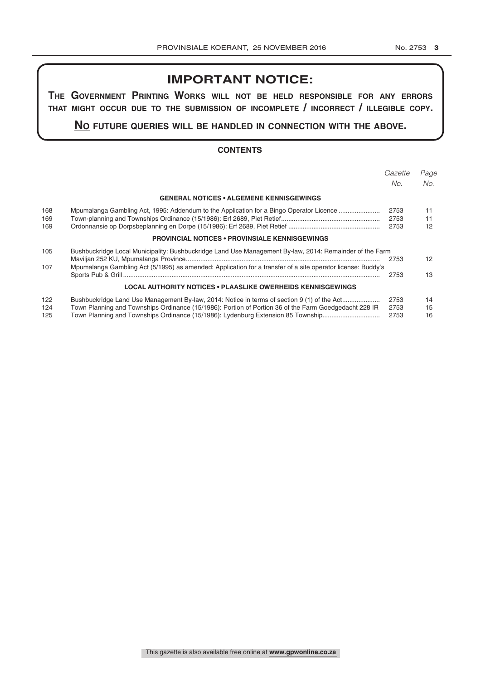## **IMPORTANT NOTICE:**

**The GovernmenT PrinTinG Works Will noT be held resPonsible for any errors ThaT miGhT occur due To The submission of incomPleTe / incorrecT / illeGible coPy.**

#### **no fuTure queries Will be handled in connecTion WiTh The above.**

#### **CONTENTS**

|     |                                                                                                             | Gazette | Page            |
|-----|-------------------------------------------------------------------------------------------------------------|---------|-----------------|
|     |                                                                                                             | No.     | No.             |
|     | <b>GENERAL NOTICES • ALGEMENE KENNISGEWINGS</b>                                                             |         |                 |
| 168 | Mpumalanga Gambling Act, 1995: Addendum to the Application for a Bingo Operator Licence                     | 2753    | 11              |
| 169 |                                                                                                             | 2753    | 11              |
| 169 |                                                                                                             | 2753    | 12 <sup>2</sup> |
|     | <b>PROVINCIAL NOTICES • PROVINSIALE KENNISGEWINGS</b>                                                       |         |                 |
| 105 | Bushbuckridge Local Municipality: Bushbuckridge Land Use Management By-law, 2014: Remainder of the Farm     |         |                 |
|     |                                                                                                             | 2753    | 12 <sup>2</sup> |
| 107 | Mpumalanga Gambling Act (5/1995) as amended: Application for a transfer of a site operator license: Buddy's |         |                 |
|     |                                                                                                             | 2753    | 13              |
|     | LOCAL AUTHORITY NOTICES • PLAASLIKE OWERHEIDS KENNISGEWINGS                                                 |         |                 |
| 122 | Bushbuckridge Land Use Management By-law, 2014: Notice in terms of section 9 (1) of the Act                 | 2753    | 14              |
| 124 | Town Planning and Townships Ordinance (15/1986): Portion of Portion 36 of the Farm Goedgedacht 228 IR       | 2753    | 15              |
| 125 | Town Planning and Townships Ordinance (15/1986): Lydenburg Extension 85 Township                            | 2753    | 16              |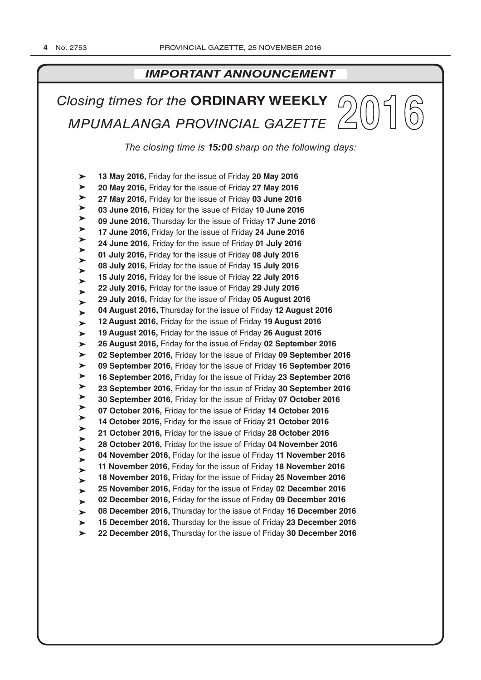### *IMPORTANT ANNOUNCEMENT*

*Closing times for the* **ORDINARY WEEKLY**  *MPUMALANGA PROVINCIAL GAZETTE*

*The closing time is 15:00 sharp on the following days:*

➤ ➤ ➤ ➤ ➤ ➤ ➤ ➤ ➤ ➤ ➤ ➤ ➤ ➤ ➤ ➤ ➤ ➤ ➤ ➤ ➤ ➤ ➤ ➤ ➤ ➤ ➤ ➤ ➤ ➤ ➤ ➤ ➤ ➤ ➤ **13 May 2016,** Friday for the issue of Friday **20 May 2016 20 May 2016,** Friday for the issue of Friday **27 May 2016 27 May 2016,** Friday for the issue of Friday **03 June 2016 03 June 2016,** Friday for the issue of Friday **10 June 2016 09 June 2016,** Thursday for the issue of Friday **17 June 2016 17 June 2016,** Friday for the issue of Friday **24 June 2016 24 June 2016,** Friday for the issue of Friday **01 July 2016 01 July 2016,** Friday for the issue of Friday **08 July 2016 08 July 2016,** Friday for the issue of Friday **15 July 2016 15 July 2016,** Friday for the issue of Friday **22 July 2016 22 July 2016,** Friday for the issue of Friday **29 July 2016 29 July 2016,** Friday for the issue of Friday **05 August 2016 04 August 2016,** Thursday for the issue of Friday **12 August 2016 12 August 2016,** Friday for the issue of Friday **19 August 2016 19 August 2016,** Friday for the issue of Friday **26 August 2016 26 August 2016,** Friday for the issue of Friday **02 September 2016 02 September 2016,** Friday for the issue of Friday **09 September 2016 09 September 2016,** Friday for the issue of Friday **16 September 2016 16 September 2016,** Friday for the issue of Friday **23 September 2016 23 September 2016,** Friday for the issue of Friday **30 September 2016 30 September 2016,** Friday for the issue of Friday **07 October 2016 07 October 2016,** Friday for the issue of Friday **14 October 2016 14 October 2016,** Friday for the issue of Friday **21 October 2016 21 October 2016,** Friday for the issue of Friday **28 October 2016 28 October 2016,** Friday for the issue of Friday **04 November 2016 04 November 2016,** Friday for the issue of Friday **11 November 2016 11 November 2016,** Friday for the issue of Friday **18 November 2016 18 November 2016,** Friday for the issue of Friday **25 November 2016 25 November 2016,** Friday for the issue of Friday **02 December 2016 02 December 2016,** Friday for the issue of Friday **09 December 2016 08 December 2016,** Thursday for the issue of Friday **16 December 2016 15 December 2016,** Thursday for the issue of Friday **23 December 2016 22 December 2016,** Thursday for the issue of Friday **30 December 2016**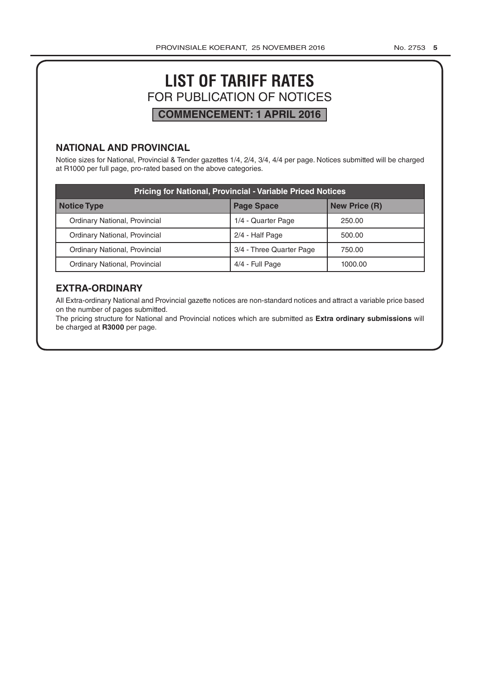## **LIST OF TARIFF RATES** FOR PUBLICATION OF NOTICES **COMMENCEMENT: 1 APRIL 2016**

#### **NATIONAL AND PROVINCIAL**

Notice sizes for National, Provincial & Tender gazettes 1/4, 2/4, 3/4, 4/4 per page. Notices submitted will be charged at R1000 per full page, pro-rated based on the above categories.

| <b>Pricing for National, Provincial - Variable Priced Notices</b> |                          |                      |  |  |  |  |  |
|-------------------------------------------------------------------|--------------------------|----------------------|--|--|--|--|--|
| <b>Notice Type</b>                                                | <b>Page Space</b>        | <b>New Price (R)</b> |  |  |  |  |  |
| Ordinary National, Provincial                                     | 1/4 - Quarter Page       | 250.00               |  |  |  |  |  |
| Ordinary National, Provincial                                     | 2/4 - Half Page          | 500.00               |  |  |  |  |  |
| Ordinary National, Provincial                                     | 3/4 - Three Quarter Page | 750.00               |  |  |  |  |  |
| Ordinary National, Provincial                                     | 4/4 - Full Page          | 1000.00              |  |  |  |  |  |

#### **EXTRA-ORDINARY**

All Extra-ordinary National and Provincial gazette notices are non-standard notices and attract a variable price based on the number of pages submitted.

The pricing structure for National and Provincial notices which are submitted as **Extra ordinary submissions** will be charged at **R3000** per page.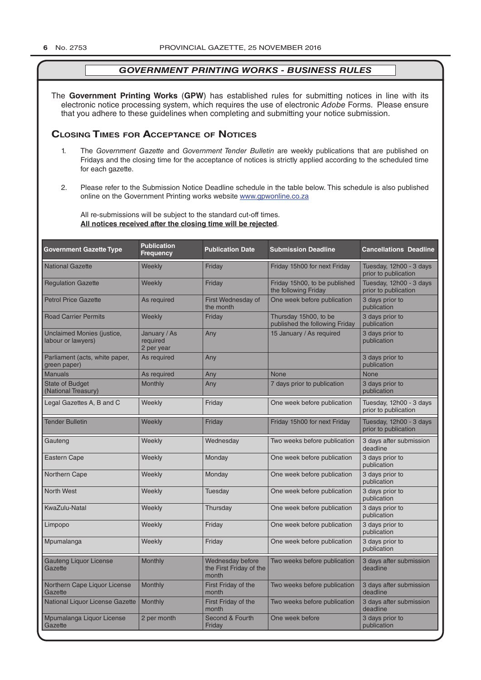The **Government Printing Works** (**GPW**) has established rules for submitting notices in line with its electronic notice processing system, which requires the use of electronic *Adobe* Forms. Please ensure that you adhere to these guidelines when completing and submitting your notice submission.

#### **Closing Times for ACCepTAnCe of noTiCes**

- 1. The *Government Gazette* and *Government Tender Bulletin* are weekly publications that are published on Fridays and the closing time for the acceptance of notices is strictly applied according to the scheduled time for each gazette.
- 2. Please refer to the Submission Notice Deadline schedule in the table below. This schedule is also published online on the Government Printing works website www.gpwonline.co.za

All re-submissions will be subject to the standard cut-off times. **All notices received after the closing time will be rejected**.

| <b>Government Gazette Type</b>                   | <b>Publication</b><br><b>Frequency</b> | <b>Publication Date</b>                              | <b>Submission Deadline</b>                              | <b>Cancellations Deadline</b>                   |
|--------------------------------------------------|----------------------------------------|------------------------------------------------------|---------------------------------------------------------|-------------------------------------------------|
| <b>National Gazette</b>                          | Weekly                                 | Friday                                               | Friday 15h00 for next Friday                            | Tuesday, 12h00 - 3 days<br>prior to publication |
| <b>Regulation Gazette</b>                        | Weekly                                 | Friday                                               | Friday 15h00, to be published<br>the following Friday   | Tuesday, 12h00 - 3 days<br>prior to publication |
| <b>Petrol Price Gazette</b>                      | As required                            | First Wednesday of<br>the month                      | One week before publication                             | 3 days prior to<br>publication                  |
| <b>Road Carrier Permits</b>                      | Weekly                                 | Friday                                               | Thursday 15h00, to be<br>published the following Friday | 3 days prior to<br>publication                  |
| Unclaimed Monies (justice,<br>labour or lawyers) | January / As<br>required<br>2 per year | Any                                                  | 15 January / As required                                | 3 days prior to<br>publication                  |
| Parliament (acts, white paper,<br>green paper)   | As required                            | Any                                                  |                                                         | 3 days prior to<br>publication                  |
| <b>Manuals</b>                                   | As required                            | Any                                                  | <b>None</b>                                             | <b>None</b>                                     |
| <b>State of Budget</b><br>(National Treasury)    | <b>Monthly</b>                         | Any                                                  | 7 days prior to publication                             | 3 days prior to<br>publication                  |
| Legal Gazettes A, B and C                        | Weekly                                 | Friday                                               | One week before publication                             | Tuesday, 12h00 - 3 days<br>prior to publication |
| <b>Tender Bulletin</b>                           | Weekly                                 | Friday                                               | Friday 15h00 for next Friday                            | Tuesday, 12h00 - 3 days<br>prior to publication |
| Gauteng                                          | Weekly                                 | Wednesday                                            | Two weeks before publication                            | 3 days after submission<br>deadline             |
| <b>Eastern Cape</b>                              | Weekly                                 | Monday                                               | One week before publication                             | 3 days prior to<br>publication                  |
| Northern Cape                                    | Weekly                                 | Monday                                               | One week before publication                             | 3 days prior to<br>publication                  |
| <b>North West</b>                                | Weekly                                 | Tuesday                                              | One week before publication                             | 3 days prior to<br>publication                  |
| KwaZulu-Natal                                    | Weekly                                 | Thursday                                             | One week before publication                             | 3 days prior to<br>publication                  |
| Limpopo                                          | Weekly                                 | Friday                                               | One week before publication                             | 3 days prior to<br>publication                  |
| Mpumalanga                                       | Weekly                                 | Friday                                               | One week before publication                             | 3 days prior to<br>publication                  |
| <b>Gauteng Liquor License</b><br>Gazette         | Monthly                                | Wednesday before<br>the First Friday of the<br>month | Two weeks before publication                            | 3 days after submission<br>deadline             |
| Northern Cape Liquor License<br>Gazette          | Monthly                                | First Friday of the<br>month                         | Two weeks before publication                            | 3 days after submission<br>deadline             |
| National Liquor License Gazette                  | Monthly                                | First Friday of the<br>month                         | Two weeks before publication                            | 3 days after submission<br>deadline             |
| Mpumalanga Liquor License<br>Gazette             | 2 per month                            | Second & Fourth<br>Friday                            | One week before                                         | 3 days prior to<br>publication                  |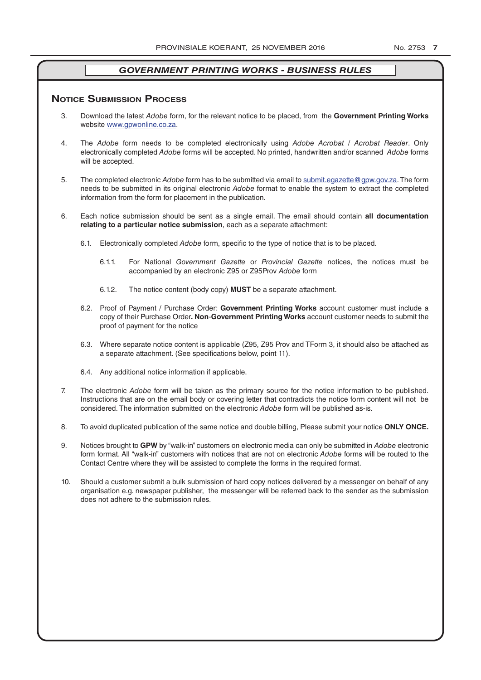#### **NOTICE SUBMISSION PROCESS**

- 3. Download the latest *Adobe* form, for the relevant notice to be placed, from the **Government Printing Works** website www.gpwonline.co.za.
- 4. The *Adobe* form needs to be completed electronically using *Adobe Acrobat* / *Acrobat Reader*. Only electronically completed *Adobe* forms will be accepted. No printed, handwritten and/or scanned *Adobe* forms will be accepted.
- 5. The completed electronic *Adobe* form has to be submitted via email to submit.egazette@gpw.gov.za. The form needs to be submitted in its original electronic *Adobe* format to enable the system to extract the completed information from the form for placement in the publication.
- 6. Each notice submission should be sent as a single email. The email should contain **all documentation relating to a particular notice submission**, each as a separate attachment:
	- 6.1. Electronically completed *Adobe* form, specific to the type of notice that is to be placed.
		- 6.1.1. For National *Government Gazette* or *Provincial Gazette* notices, the notices must be accompanied by an electronic Z95 or Z95Prov *Adobe* form
		- 6.1.2. The notice content (body copy) **MUST** be a separate attachment.
	- 6.2. Proof of Payment / Purchase Order: **Government Printing Works** account customer must include a copy of their Purchase Order*.* **Non**-**Government Printing Works** account customer needs to submit the proof of payment for the notice
	- 6.3. Where separate notice content is applicable (Z95, Z95 Prov and TForm 3, it should also be attached as a separate attachment. (See specifications below, point 11).
	- 6.4. Any additional notice information if applicable.
- 7. The electronic *Adobe* form will be taken as the primary source for the notice information to be published. Instructions that are on the email body or covering letter that contradicts the notice form content will not be considered. The information submitted on the electronic *Adobe* form will be published as-is.
- 8. To avoid duplicated publication of the same notice and double billing, Please submit your notice **ONLY ONCE.**
- 9. Notices brought to **GPW** by "walk-in" customers on electronic media can only be submitted in *Adobe* electronic form format. All "walk-in" customers with notices that are not on electronic *Adobe* forms will be routed to the Contact Centre where they will be assisted to complete the forms in the required format.
- 10. Should a customer submit a bulk submission of hard copy notices delivered by a messenger on behalf of any organisation e.g. newspaper publisher, the messenger will be referred back to the sender as the submission does not adhere to the submission rules.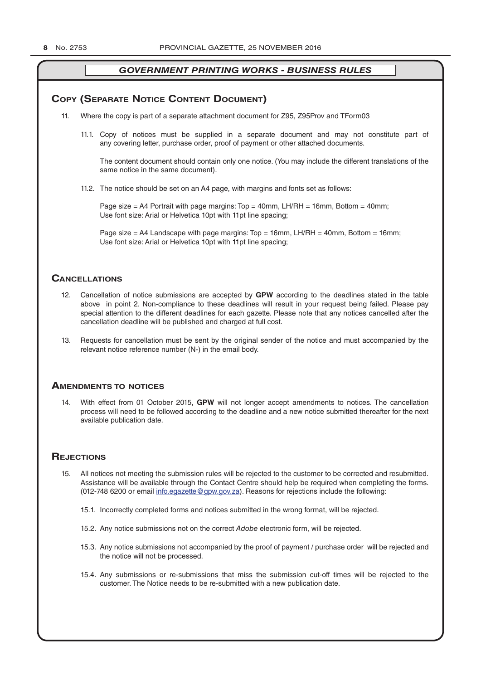#### **COPY (SEPARATE NOTICE CONTENT DOCUMENT)**

- 11. Where the copy is part of a separate attachment document for Z95, Z95Prov and TForm03
	- 11.1. Copy of notices must be supplied in a separate document and may not constitute part of any covering letter, purchase order, proof of payment or other attached documents.

The content document should contain only one notice. (You may include the different translations of the same notice in the same document).

11.2. The notice should be set on an A4 page, with margins and fonts set as follows:

Page size  $=$  A4 Portrait with page margins: Top  $=$  40mm, LH/RH  $=$  16mm, Bottom  $=$  40mm; Use font size: Arial or Helvetica 10pt with 11pt line spacing;

Page size = A4 Landscape with page margins: Top = 16mm, LH/RH = 40mm, Bottom = 16mm; Use font size: Arial or Helvetica 10pt with 11pt line spacing;

#### **CAnCellATions**

- 12. Cancellation of notice submissions are accepted by **GPW** according to the deadlines stated in the table above in point 2. Non-compliance to these deadlines will result in your request being failed. Please pay special attention to the different deadlines for each gazette. Please note that any notices cancelled after the cancellation deadline will be published and charged at full cost.
- 13. Requests for cancellation must be sent by the original sender of the notice and must accompanied by the relevant notice reference number (N-) in the email body.

#### **AmenDmenTs To noTiCes**

14. With effect from 01 October 2015, **GPW** will not longer accept amendments to notices. The cancellation process will need to be followed according to the deadline and a new notice submitted thereafter for the next available publication date.

#### **REJECTIONS**

- 15. All notices not meeting the submission rules will be rejected to the customer to be corrected and resubmitted. Assistance will be available through the Contact Centre should help be required when completing the forms. (012-748 6200 or email info.egazette@gpw.gov.za). Reasons for rejections include the following:
	- 15.1. Incorrectly completed forms and notices submitted in the wrong format, will be rejected.
	- 15.2. Any notice submissions not on the correct *Adobe* electronic form, will be rejected.
	- 15.3. Any notice submissions not accompanied by the proof of payment / purchase order will be rejected and the notice will not be processed.
	- 15.4. Any submissions or re-submissions that miss the submission cut-off times will be rejected to the customer. The Notice needs to be re-submitted with a new publication date.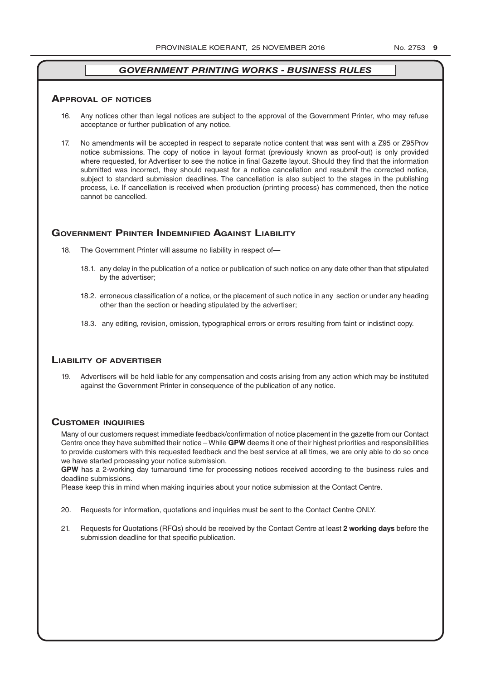#### **ApprovAl of noTiCes**

- 16. Any notices other than legal notices are subject to the approval of the Government Printer, who may refuse acceptance or further publication of any notice.
- 17. No amendments will be accepted in respect to separate notice content that was sent with a Z95 or Z95Prov notice submissions. The copy of notice in layout format (previously known as proof-out) is only provided where requested, for Advertiser to see the notice in final Gazette layout. Should they find that the information submitted was incorrect, they should request for a notice cancellation and resubmit the corrected notice, subject to standard submission deadlines. The cancellation is also subject to the stages in the publishing process, i.e. If cancellation is received when production (printing process) has commenced, then the notice cannot be cancelled.

#### **governmenT prinTer inDemnifieD AgAinsT liAbiliTy**

- 18. The Government Printer will assume no liability in respect of—
	- 18.1. any delay in the publication of a notice or publication of such notice on any date other than that stipulated by the advertiser;
	- 18.2. erroneous classification of a notice, or the placement of such notice in any section or under any heading other than the section or heading stipulated by the advertiser;
	- 18.3. any editing, revision, omission, typographical errors or errors resulting from faint or indistinct copy.

#### **liAbiliTy of ADverTiser**

19. Advertisers will be held liable for any compensation and costs arising from any action which may be instituted against the Government Printer in consequence of the publication of any notice.

#### **CusTomer inquiries**

Many of our customers request immediate feedback/confirmation of notice placement in the gazette from our Contact Centre once they have submitted their notice – While **GPW** deems it one of their highest priorities and responsibilities to provide customers with this requested feedback and the best service at all times, we are only able to do so once we have started processing your notice submission.

**GPW** has a 2-working day turnaround time for processing notices received according to the business rules and deadline submissions.

Please keep this in mind when making inquiries about your notice submission at the Contact Centre.

- 20. Requests for information, quotations and inquiries must be sent to the Contact Centre ONLY.
- 21. Requests for Quotations (RFQs) should be received by the Contact Centre at least **2 working days** before the submission deadline for that specific publication.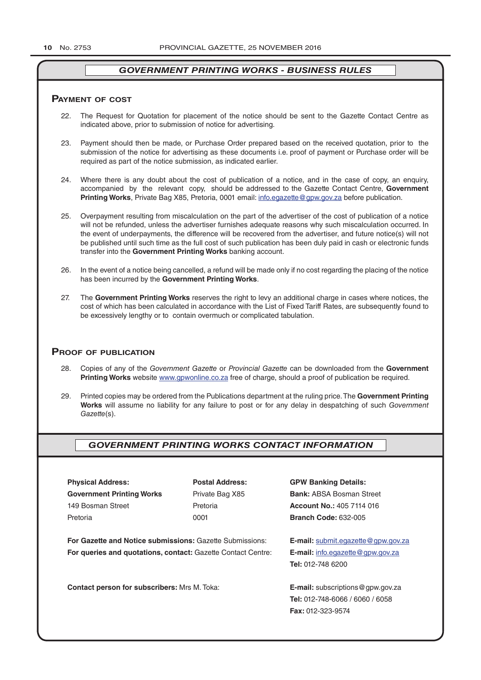#### **pAymenT of CosT**

- 22. The Request for Quotation for placement of the notice should be sent to the Gazette Contact Centre as indicated above, prior to submission of notice for advertising.
- 23. Payment should then be made, or Purchase Order prepared based on the received quotation, prior to the submission of the notice for advertising as these documents i.e. proof of payment or Purchase order will be required as part of the notice submission, as indicated earlier.
- 24. Where there is any doubt about the cost of publication of a notice, and in the case of copy, an enquiry, accompanied by the relevant copy, should be addressed to the Gazette Contact Centre, **Government Printing Works**, Private Bag X85, Pretoria, 0001 email: info.egazette@gpw.gov.za before publication.
- 25. Overpayment resulting from miscalculation on the part of the advertiser of the cost of publication of a notice will not be refunded, unless the advertiser furnishes adequate reasons why such miscalculation occurred. In the event of underpayments, the difference will be recovered from the advertiser, and future notice(s) will not be published until such time as the full cost of such publication has been duly paid in cash or electronic funds transfer into the **Government Printing Works** banking account.
- 26. In the event of a notice being cancelled, a refund will be made only if no cost regarding the placing of the notice has been incurred by the **Government Printing Works**.
- 27. The **Government Printing Works** reserves the right to levy an additional charge in cases where notices, the cost of which has been calculated in accordance with the List of Fixed Tariff Rates, are subsequently found to be excessively lengthy or to contain overmuch or complicated tabulation.

#### **proof of publiCATion**

- 28. Copies of any of the *Government Gazette* or *Provincial Gazette* can be downloaded from the **Government Printing Works** website www.gpwonline.co.za free of charge, should a proof of publication be required.
- 29. Printed copies may be ordered from the Publications department at the ruling price. The **Government Printing Works** will assume no liability for any failure to post or for any delay in despatching of such *Government Gazette*(s).

#### *GOVERNMENT PRINTING WORKS CONTACT INFORMATION*

**Physical Address: Postal Address: GPW Banking Details: Government Printing Works** Private Bag X85 **Bank:** ABSA Bosman Street 149 Bosman Street Pretoria **Account No.:** 405 7114 016 Pretoria 0001 **Branch Code:** 632-005

**For Gazette and Notice submissions:** Gazette Submissions: **E-mail:** submit.egazette@gpw.gov.za **For queries and quotations, contact:** Gazette Contact Centre: **E-mail:** info.egazette@gpw.gov.za

**Contact person for subscribers:** Mrs M. Toka: **E-mail:** subscriptions@gpw.gov.za

**Tel:** 012-748 6200

**Tel:** 012-748-6066 / 6060 / 6058 **Fax:** 012-323-9574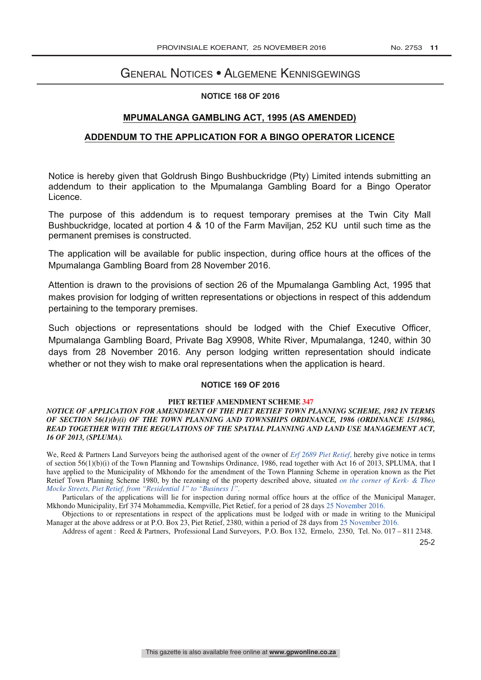### General Notices • Algemene Kennisgewings

#### **NOTICE 168 OF 2016**

#### **MPUMALANGA GAMBLING ACT, 1995 (AS AMENDED)**

#### **ADDENDUM TO THE APPLICATION FOR A BINGO OPERATOR LICENCE**

Notice is hereby given that Goldrush Bingo Bushbuckridge (Pty) Limited intends submitting an addendum to their application to the Mpumalanga Gambling Board for a Bingo Operator Licence.

The purpose of this addendum is to request temporary premises at the Twin City Mall Bushbuckridge, located at portion 4 & 10 of the Farm Maviljan, 252 KU until such time as the permanent premises is constructed.

The application will be available for public inspection, during office hours at the offices of the Mpumalanga Gambling Board from 28 November 2016.

Attention is drawn to the provisions of section 26 of the Mpumalanga Gambling Act, 1995 that makes provision for lodging of written representations or objections in respect of this addendum pertaining to the temporary premises.

Such objections or representations should be lodged with the Chief Executive Officer, Mpumalanga Gambling Board, Private Bag X9908, White River, Mpumalanga, 1240, within 30 days from 28 November 2016. Any person lodging written representation should indicate whether or not they wish to make oral representations when the application is heard.

#### **NOTICE 169 OF 2016**

#### **PIET RETIEF AMENDMENT SCHEME 347**

*NOTICE OF APPLICATION FOR AMENDMENT OF THE PIET RETIEF TOWN PLANNING SCHEME, 1982 IN TERMS OF SECTION 56(1)(b)(i) OF THE TOWN PLANNING AND TOWNSHIPS ORDINANCE, 1986 (ORDINANCE 15/1986), READ TOGETHER WITH THE REGULATIONS OF THE SPATIAL PLANNING AND LAND USE MANAGEMENT ACT, 16 OF 2013, (SPLUMA).* 

We, Reed & Partners Land Surveyors being the authorised agent of the owner of *Erf 2689 Piet Retief*, hereby give notice in terms of section 56(1)(b)(i) of the Town Planning and Townships Ordinance, 1986, read together with Act 16 of 2013, SPLUMA, that I have applied to the Municipality of Mkhondo for the amendment of the Town Planning Scheme in operation known as the Piet Retief Town Planning Scheme 1980, by the rezoning of the property described above, situated *on the corner of Kerk- & Theo Mocke Streets, Piet Retief, from "Residential 1" to "Business 1".*

Particulars of the applications will lie for inspection during normal office hours at the office of the Municipal Manager, Mkhondo Municipality, Erf 374 Mohammedia, Kempville, Piet Retief, for a period of 28 days 25 November 2016.

Objections to or representations in respect of the applications must be lodged with or made in writing to the Municipal Manager at the above address or at P.O. Box 23, Piet Retief, 2380, within a period of 28 days from 25 November 2016.

Address of agent : Reed & Partners, Professional Land Surveyors, P.O. Box 132, Ermelo, 2350, Tel. No. 017 – 811 2348.

25-2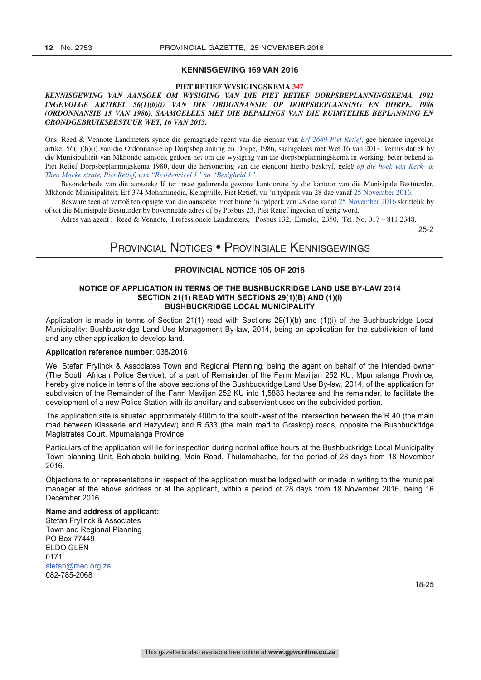#### **KENNISGEWING 169 VAN 2016**

#### **PIET RETIEF WYSIGINGSKEMA 347**

*KENNISGEWING VAN AANSOEK OM WYSIGING VAN DIE PIET RETIEF DORPSBEPLANNINGSKEMA, 1982 INGEVOLGE ARTIKEL 56(1)(b)(i) VAN DIE ORDONNANSIE OP DORPSBEPLANNING EN DORPE, 1986 (ORDONNANSIE 15 VAN 1986), SAAMGELEES MET DIE BEPALINGS VAN DIE RUIMTELIKE BEPLANNING EN GRONDGEBRUIKSBESTUUR WET, 16 VAN 2013.* 

Ons, Reed & Vennote Landmeters synde die gemagtigde agent van die eienaar van *Erf 2689 Piet Retief*, gee hiermee ingevolge artikel 56(1)(b)(i) van die Ordonnansie op Dorpsbeplanning en Dorpe, 1986, saamgelees met Wet 16 van 2013, kennis dat ek by die Munisipaliteit van Mkhondo aansoek gedoen het om die wysiging van die dorpsbeplanningskema in werking, beter bekend as Piet Retief Dorpsbeplanningskema 1980, deur die hersonering van die eiendom hierbo beskryf, geleë *op die hoek van Kerk- & Theo Mocke strate, Piet Retief, van "Residensieel 1" na "Besigheid 1".* 

Besonderhede van die aansoeke lê ter insae gedurende gewone kantoorure by die kantoor van die Munisipale Bestuurder, Mkhondo Munisipaliteit, Erf 374 Mohammedia, Kempville, Piet Retief, vir 'n tydperk van 28 dae vanaf 25 November 2016.

Besware teen of vertoë ten opsigte van die aansoeke moet binne 'n tydperk van 28 dae vanaf 25 November 2016 skriftelik by of tot die Munisipale Bestuurder by bovermelde adres of by Posbus 23, Piet Retief ingedien of gerig word.

Adres van agent : Reed & Vennote, Professionele Landmeters, Posbus 132, Ermelo, 2350, Tel. No. 017 – 811 2348.

25-2

## Provincial Notices • Provinsiale Kennisgewings

#### **PROVINCIAL NOTICE 105 OF 2016**

#### **NOTICE OF APPLICATION IN TERMS OF THE BUSHBUCKRIDGE LAND USE BY-LAW 2014 SECTION 21(1) READ WITH SECTIONS 29(1)(B) AND (1)(I) BUSHBUCKRIDGE LOCAL MUNICIPALITY**

Application is made in terms of Section 21(1) read with Sections 29(1)(b) and (1)(i) of the Bushbuckridge Local Municipality: Bushbuckridge Land Use Management By-law, 2014, being an application for the subdivision of land and any other application to develop land.

#### **Application reference number**: 038/2016

We, Stefan Frylinck & Associates Town and Regional Planning, being the agent on behalf of the intended owner (The South African Police Service), of a part of Remainder of the Farm Maviljan 252 KU, Mpumalanga Province, hereby give notice in terms of the above sections of the Bushbuckridge Land Use By-law, 2014, of the application for subdivision of the Remainder of the Farm Maviljan 252 KU into 1,5883 hectares and the remainder, to facilitate the development of a new Police Station with its ancillary and subservient uses on the subdivided portion.

The application site is situated approximately 400m to the south-west of the intersection between the R 40 (the main road between Klasserie and Hazyview) and R 533 (the main road to Graskop) roads, opposite the Bushbuckridge Magistrates Court, Mpumalanga Province.

Particulars of the application will lie for inspection during normal office hours at the Bushbuckridge Local Municipality Town planning Unit, Bohlabela building, Main Road, Thulamahashe, for the period of 28 days from 18 November 2016.

Objections to or representations in respect of the application must be lodged with or made in writing to the municipal manager at the above address or at the applicant, within a period of 28 days from 18 November 2016, being 16 December 2016.

#### **Name and address of applicant:**

Stefan Frylinck & Associates Town and Regional Planning PO Box 77449 ELDO GLEN 0171 stefan@mec.org.za 082-785-2068

18-25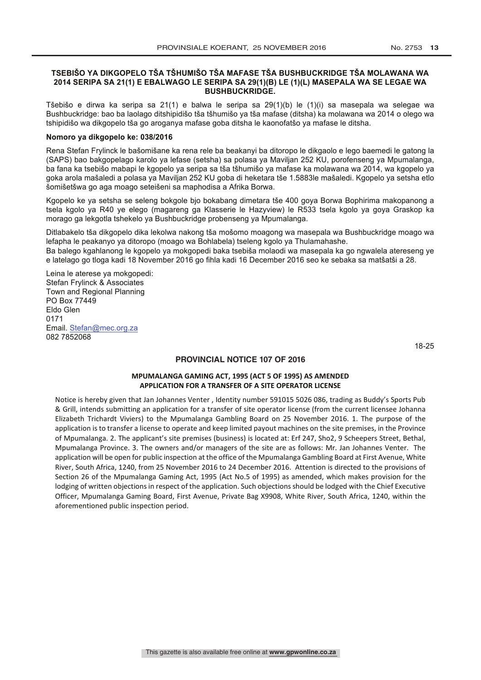#### **TSEBIŠO YA DIKGOPELO TŠA TŠHUMIŠO TŠA MAFASE TŠA BUSHBUCKRIDGE TŠA MOLAWANA WA 2014 SERIPA SA 21(1) E EBALWAGO LE SERIPA SA 29(1)(B) LE (1)(L) MASEPALA WA SE LEGAE WA BUSHBUCKRIDGE.**

Tšebišo e dirwa ka seripa sa 21(1) e balwa le seripa sa 29(1)(b) le (1)(i) sa masepala wa selegae wa Bushbuckridge: bao ba laolago ditshipidišo tša tšhumišo ya tša mafase (ditsha) ka molawana wa 2014 o olego wa tshipidišo wa dikgopelo tša go aroganya mafase goba ditsha le kaonofatšo ya mafase le ditsha.

#### **Nomoro ya dikgopelo ke: 038/2016**

Rena Stefan Frylinck le bašomišane ka rena rele ba beakanyi ba ditoropo le dikgaolo e lego baemedi le gatong la (SAPS) bao bakgopelago karolo ya lefase (setsha) sa polasa ya Maviljan 252 KU, porofenseng ya Mpumalanga, ba fana ka tsebišo mabapi le kgopelo ya seripa sa tša tšhumišo ya mafase ka molawana wa 2014, wa kgopelo ya goka arola mašaledi a polasa ya Maviljan 252 KU goba di heketara tše 1.5883le mašaledi. Kgopelo ya setsha etlo šomišetšwa go aga moago seteišeni sa maphodisa a Afrika Borwa.

Kgopelo ke ya setsha se seleng bokgole bjo bokabang dimetara tše 400 goya Borwa Bophirima makopanong a tsela kgolo ya R40 ye elego (magareng ga Klasserie le Hazyview) le R533 tsela kgolo ya goya Graskop ka morago ga lekgotla tshekelo ya Bushbuckridge probenseng ya Mpumalanga.

Ditlabakelo tša dikgopelo dika lekolwa nakong tša mošomo moagong wa masepala wa Bushbuckridge moago wa lefapha le peakanyo ya ditoropo (moago wa Bohlabela) tseleng kgolo ya Thulamahashe.

Ba balego kgahlanong le kgopelo ya mokgopedi baka tsebiša molaodi wa masepala ka go ngwalela atereseng ye e latelago go tloga kadi 18 November 2016 go fihla kadi 16 December 2016 seo ke sebaka sa matšatši a 28.

Leina le aterese ya mokgopedi: Stefan Frylinck & Associates Town and Regional Planning PO Box 77449 Eldo Glen 0171 Email. Stefan@mec.org.za 082 7852068

18-25

#### **PROVINCIAL NOTICE 107 OF 2016**

#### **MPUMALANGA GAMING ACT, 1995 (ACT 5 OF 1995) AS AMENDED APPLICATION FOR A TRANSFER OF A SITE OPERATOR LICENSE**

Notice is hereby given that Jan Johannes Venter , Identity number 591015 5026 086, trading as Buddy's Sports Pub & Grill, intends submitting an application for a transfer of site operator license (from the current licensee Johanna Elizabeth Trichardt Viviers) to the Mpumalanga Gambling Board on 25 November 2016. 1. The purpose of the application is to transfer a license to operate and keep limited payout machines on the site premises, in the Province of Mpumalanga. 2. The applicant's site premises (business) is located at: Erf 247, Sho2, 9 Scheepers Street, Bethal, Mpumalanga Province. 3. The owners and/or managers of the site are as follows: Mr. Jan Johannes Venter. The application will be open for public inspection at the office of the Mpumalanga Gambling Board at First Avenue, White River, South Africa, 1240, from 25 November 2016 to 24 December 2016. Attention is directed to the provisions of Section 26 of the Mpumalanga Gaming Act, 1995 (Act No.5 of 1995) as amended, which makes provision for the lodging of written objections in respect of the application. Such objections should be lodged with the Chief Executive Officer, Mpumalanga Gaming Board, First Avenue, Private Bag X9908, White River, South Africa, 1240, within the aforementioned public inspection period.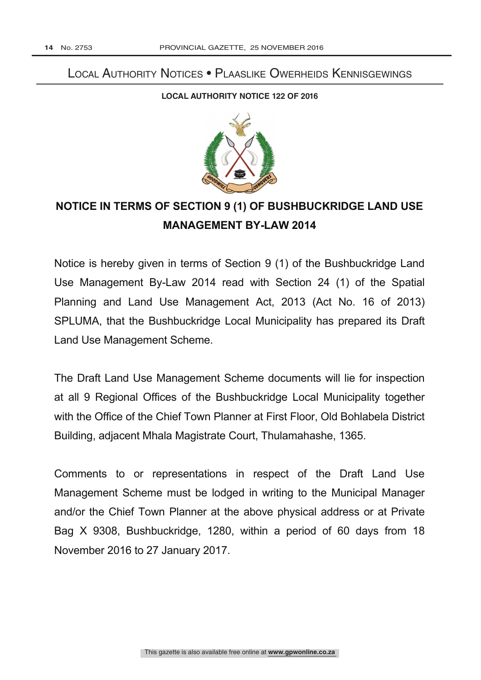## Local Authority Notices • Plaaslike Owerheids Kennisgewings

#### **LOCAL AUTHORITY NOTICE 122 OF 2016**



## **NOTICE IN TERMS OF SECTION 9 (1) OF BUSHBUCKRIDGE LAND USE MANAGEMENT BY-LAW 2014**

Notice is hereby given in terms of Section 9 (1) of the Bushbuckridge Land Use Management By-Law 2014 read with Section 24 (1) of the Spatial Planning and Land Use Management Act, 2013 (Act No. 16 of 2013) SPLUMA, that the Bushbuckridge Local Municipality has prepared its Draft Land Use Management Scheme.

The Draft Land Use Management Scheme documents will lie for inspection at all 9 Regional Offices of the Bushbuckridge Local Municipality together with the Office of the Chief Town Planner at First Floor, Old Bohlabela District Building, adjacent Mhala Magistrate Court, Thulamahashe, 1365.

Comments to or representations in respect of the Draft Land Use Management Scheme must be lodged in writing to the Municipal Manager and/or the Chief Town Planner at the above physical address or at Private Bag X 9308, Bushbuckridge, 1280, within a period of 60 days from 18 November 2016 to 27 January 2017.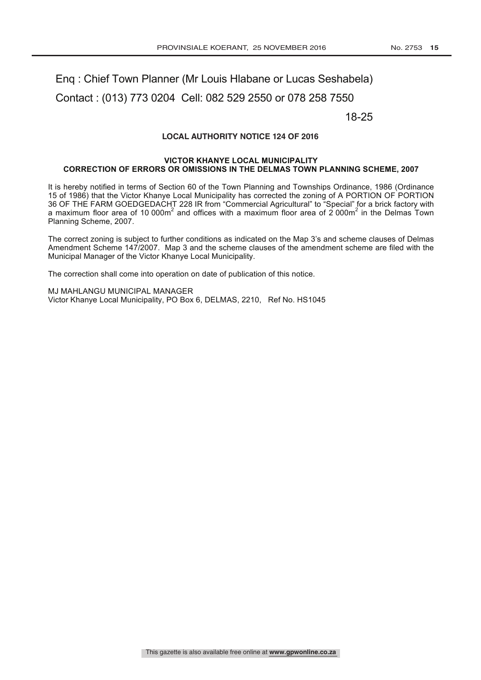## Enq : Chief Town Planner (Mr Louis Hlabane or Lucas Seshabela) Contact : (013) 773 0204 Cell: 082 529 2550 or 078 258 7550

18-25

#### **LOCAL AUTHORITY NOTICE 124 OF 2016**

#### **VICTOR KHANYE LOCAL MUNICIPALITY CORRECTION OF ERRORS OR OMISSIONS IN THE DELMAS TOWN PLANNING SCHEME, 2007**

It is hereby notified in terms of Section 60 of the Town Planning and Townships Ordinance, 1986 (Ordinance 15 of 1986) that the Victor Khanye Local Municipality has corrected the zoning of A PORTION OF PORTION 36 OF THE FARM GOEDGEDACHT 228 IR from "Commercial Agricultural" to "Special" for a brick factory with a maximum floor area of 10 000m<sup>2</sup> and offices with a maximum floor area of 2 000m<sup>2</sup> in the Delmas Town Planning Scheme, 2007.

The correct zoning is subject to further conditions as indicated on the Map 3's and scheme clauses of Delmas Amendment Scheme 147/2007. Map 3 and the scheme clauses of the amendment scheme are filed with the Municipal Manager of the Victor Khanye Local Municipality.

The correction shall come into operation on date of publication of this notice.

MJ MAHLANGU MUNICIPAL MANAGER Victor Khanye Local Municipality, PO Box 6, DELMAS, 2210, Ref No. HS1045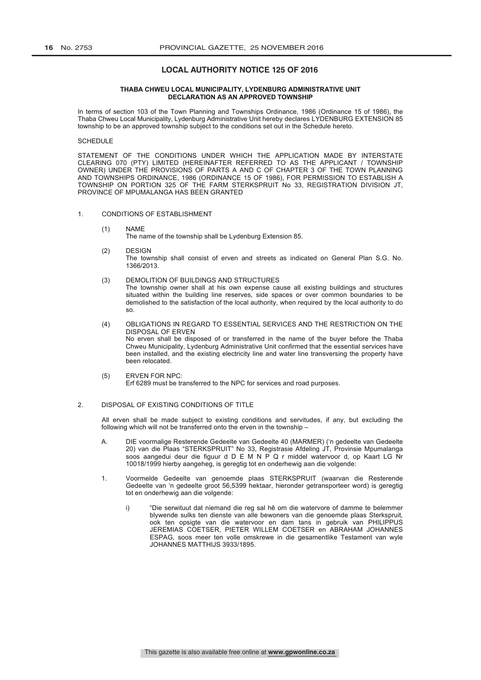#### **LOCAL AUTHORITY NOTICE 125 OF 2016**

#### **THABA CHWEU LOCAL MUNICIPALITY, LYDENBURG ADMINISTRATIVE UNIT DECLARATION AS AN APPROVED TOWNSHIP**

In terms of section 103 of the Town Planning and Townships Ordinance, 1986 (Ordinance 15 of 1986), the Thaba Chweu Local Municipality, Lydenburg Administrative Unit hereby declares LYDENBURG EXTENSION 85 township to be an approved township subject to the conditions set out in the Schedule hereto.

#### **SCHEDULE**

STATEMENT OF THE CONDITIONS UNDER WHICH THE APPLICATION MADE BY INTERSTATE CLEARING 070 (PTY) LIMITED (HEREINAFTER REFERRED TO AS THE APPLICANT / TOWNSHIP OWNER) UNDER THE PROVISIONS OF PARTS A AND C OF CHAPTER 3 OF THE TOWN PLANNING AND TOWNSHIPS ORDINANCE, 1986 (ORDINANCE 15 OF 1986), FOR PERMISSION TO ESTABLISH A TOWNSHIP ON PORTION 325 OF THE FARM STERKSPRUIT No 33, REGISTRATION DIVISION JT, PROVINCE OF MPUMALANGA HAS BEEN GRANTED

- 1. CONDITIONS OF ESTABLISHMENT
	- (1) NAME

The name of the township shall be Lydenburg Extension 85.

- (2) DESIGN The township shall consist of erven and streets as indicated on General Plan S.G. No. 1366/2013.
- (3) DEMOLITION OF BUILDINGS AND STRUCTURES The township owner shall at his own expense cause all existing buildings and structures situated within the building line reserves, side spaces or over common boundaries to be demolished to the satisfaction of the local authority, when required by the local authority to do so.
- (4) OBLIGATIONS IN REGARD TO ESSENTIAL SERVICES AND THE RESTRICTION ON THE DISPOSAL OF ERVEN No erven shall be disposed of or transferred in the name of the buyer before the Thaba Chweu Municipality, Lydenburg Administrative Unit confirmed that the essential services have been installed, and the existing electricity line and water line transversing the property have been relocated.
- (5) ERVEN FOR NPC: Erf 6289 must be transferred to the NPC for services and road purposes.

#### 2. DISPOSAL OF EXISTING CONDITIONS OF TITLE

All erven shall be made subject to existing conditions and servitudes, if any, but excluding the following which will not be transferred onto the erven in the township –

- A. DIE voormalige Resterende Gedeelte van Gedeelte 40 (MARMER) ('n gedeelte van Gedeelte 20) van die Plaas "STERKSPRUIT" No 33, Registrasie Afdeling JT, Provinsie Mpumalanga soos aangedui deur die figuur d D E M N P Q r middel watervoor d, op Kaart LG Nr 10018/1999 hierby aangeheg, is geregtig tot en onderhewig aan die volgende:
- 1. Voormelde Gedeelte van genoemde plaas STERKSPRUIT (waarvan die Resterende Gedeelte van 'n gedeelte groot 56,5399 hektaar, hieronder getransporteer word) is geregtig tot en onderhewig aan die volgende:
	- i) "Die serwituut dat niemand die reg sal hê om die watervore of damme te belemmer blywende sulks ten dienste van alle bewoners van die genoemde plaas Sterkspruit, ook ten opsigte van die watervoor en dam tans in gebruik van PHILIPPUS JEREMIAS COETSER, PIETER WILLEM COETSER en ABRAHAM JOHANNES ESPAG, soos meer ten volle omskrewe in die gesamentlike Testament van wyle JOHANNES MATTHIJS 3933/1895.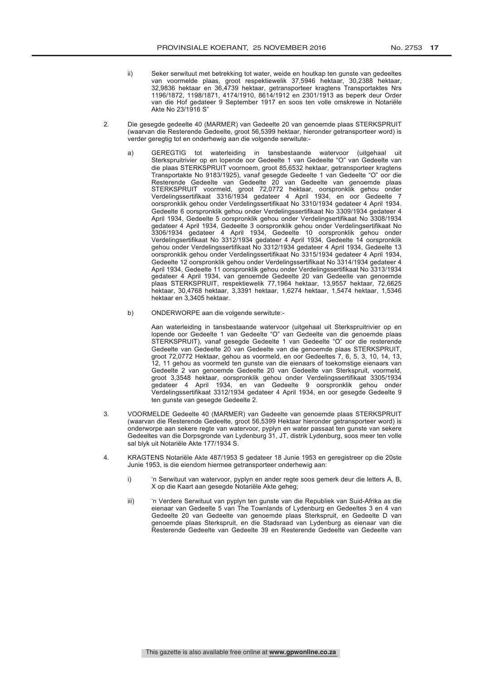- ii) Seker serwituut met betrekking tot water, weide en houtkap ten gunste van gedeeltes van voormelde plaas, groot respektiewelik 37,5946 hektaar, 30,2388 hektaar, 32,9836 hektaar en 36,4739 hektaar, getransporteer kragtens Transportaktes Nrs 1196/1872, 1198/1871, 4174/1910, 8614/1912 en 2301/1913 as beperk deur Order van die Hof gedateer 9 September 1917 en soos ten volle omskrewe in Notariële Akte No 23/1916 S"
- 2. Die gesegde gedeelte 40 (MARMER) van Gedeelte 20 van genoemde plaas STERKSPRUIT (waarvan die Resterende Gedeelte, groot 56,5399 hektaar, hieronder getransporteer word) is verder geregtig tot en onderhewig aan die volgende serwitute:
	- a) GEREGTIG tot waterleiding in tansbestaande watervoor (uitgehaal uit Sterkspruitrivier op en lopende oor Gedeelte 1 van Gedeelte "O" van Gedeelte van die plaas STERKSPRUIT voornoem, groot 85,6532 hektaar, getransporteer kragtens Transportakte No 9183/1925), vanaf gesegde Gedeelte 1 van Gedeelte "O" oor die Resterende Gedeelte van Gedeelte 20 van Gedeelte van genoemde plaas STERKSPRUIT voormeld, groot 72,0772 hektaar, oorspronklik gehou onder Verdelingssertifikaat 3316/1934 gedateer 4 April 1934, en oor Gedeelte 7 oorspronklik gehou onder Verdelingssertifikaat No 3310/1934 gedateer 4 April 1934. Gedeelte 6 oorspronklik gehou onder Verdelingssertifikaat No 3309/1934 gedateer 4 April 1934, Gedeelte 5 oorspronklik gehou onder Verdelingsertifikaat No 3308/1934 gedateer 4 April 1934, Gedeelte 3 oorspronklik gehou onder Verdelingsertifikaat No 3306/1934 gedateer 4 April 1934, Gedeelte 10 oorspronklik gehou onder Verdelingsertifikaat No 3312/1934 gedateer 4 April 1934, Gedeelte 14 oorspronklik gehou onder Verdelingssertifikaat No 3312/1934 gedateer 4 April 1934, Gedeelte 13 oorspronklik gehou onder Verdelingssertifikaat No 3315/1934 gedateer 4 April 1934, Gedeelte 12 oorspronklik gehou onder Verdelingssertifikaat No 3314/1934 gedateer 4 April 1934, Gedeelte 11 oorspronklik gehou onder Verdelingssertifikaat No 3313/1934 gedateer 4 April 1934, van genoemde Gedeelte 20 van Gedeelte van genoemde plaas STERKSPRUIT, respektiewelik 77,1964 hektaar, 13,9557 hektaar, 72,6625 hektaar, 30,4768 hektaar, 3,3391 hektaar, 1,6274 hektaar, 1,5474 hektaar, 1,5346 hektaar en 3,3405 hektaar.
	- b) ONDERWORPE aan die volgende serwitute:-

Aan waterleiding in tansbestaande watervoor (uitgehaal uit Sterkspruitrivier op en lopende oor Gedeelte 1 van Gedeelte "O" van Gedeelte van die genoemde plaas STERKSPRUIT), vanaf gesegde Gedeelte 1 van Gedeelte "O" oor die resterende Gedeelte van Gedeelte 20 van Gedeelte van die genoemde plaas STERKSPRUIT, groot 72,0772 Hektaar, gehou as voormeld, en oor Gedeeltes 7, 6, 5, 3, 10, 14, 13, 12, 11 gehou as voormeld ten gunste van die eienaars of toekomstige eienaars van Gedeelte 2 van genoemde Gedeelte 20 van Gedeelte van Sterkspruit, voormeld, groot 3,3548 hektaar, oorspronklik gehou onder Verdelingssertifikaat 3305/1934 gedateer 4 April 1934, en van Gedeelte 9 oorspronklik gehou onder Verdelingssertifikaat 3312/1934 gedateer 4 April 1934, en oor gesegde Gedeelte 9 ten gunste van gesegde Gedeelte 2.

- 3. VOORMELDE Gedeelte 40 (MARMER) van Gedeelte van genoemde plaas STERKSPRUIT (waarvan die Resterende Gedeelte, groot 56,5399 Hektaar hieronder getransporteer word) is onderworpe aan sekere regte van watervoor, pyplyn en water passaat ten gunste van sekere Gedeeltes van die Dorpsgronde van Lydenburg 31, JT, distrik Lydenburg, soos meer ten volle sal blyk uit Notariële Akte 177/1934 S.
- 4. KRAGTENS Notariële Akte 487/1953 S gedateer 18 Junie 1953 en geregistreer op die 20ste Junie 1953, is die eiendom hiermee getransporteer onderhewig aan:
	- i) 'n Serwituut van watervoor, pyplyn en ander regte soos gemerk deur die letters A, B, X op die Kaart aan gesegde Notariële Akte geheg;
	- iii) 'n Verdere Serwituut van pyplyn ten gunste van die Republiek van Suid-Afrika as die eienaar van Gedeelte 5 van The Townlands of Lydenburg en Gedeeltes 3 en 4 van Gedeelte 20 van Gedeelte van genoemde plaas Sterkspruit, en Gedeelte D van genoemde plaas Sterkspruit, en die Stadsraad van Lydenburg as eienaar van die Resterende Gedeelte van Gedeelte 39 en Resterende Gedeelte van Gedeelte van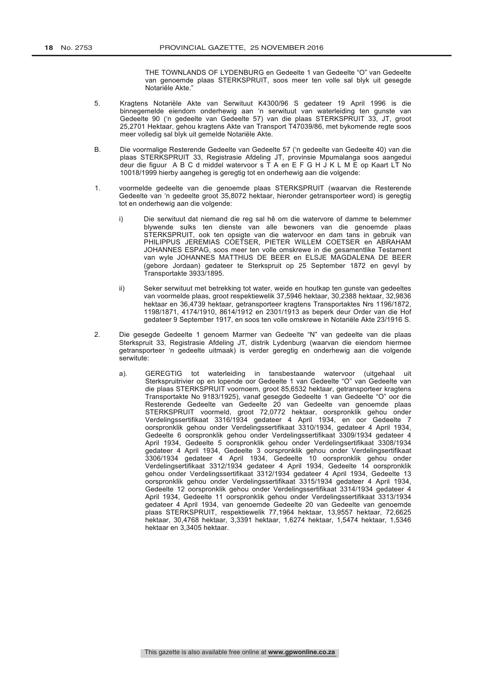THE TOWNLANDS OF LYDENBURG en Gedeelte 1 van Gedeelte "O" van Gedeelte van genoemde plaas STERKSPRUIT, soos meer ten volle sal blyk uit gesegde Notariële Akte."

- 5. Kragtens Notariële Akte van Serwituut K4300/96 S gedateer 19 April 1996 is die binnegemelde eiendom onderhewig aan 'n serwituut van waterleiding ten gunste van Gedeelte 90 ('n gedeelte van Gedeelte 57) van die plaas STERKSPRUIT 33, JT, groot 25,2701 Hektaar, gehou kragtens Akte van Transport T47039/86, met bykomende regte soos meer volledig sal blyk uit gemelde Notariële Akte.
- B. Die voormalige Resterende Gedeelte van Gedeelte 57 ('n gedeelte van Gedeelte 40) van die plaas STERKSPRUIT 33, Registrasie Afdeling JT, provinsie Mpumalanga soos aangedui deur die figuur A B C d middel watervoor s T A en E F G H J K L M E op Kaart LT No 10018/1999 hierby aangeheg is geregtig tot en onderhewig aan die volgende:
- 1. voormelde gedeelte van die genoemde plaas STERKSPRUIT (waarvan die Resterende Gedeelte van 'n gedeelte groot 35,8072 hektaar, hieronder getransporteer word) is geregtig tot en onderhewig aan die volgende:
	- i) Die serwituut dat niemand die reg sal hê om die watervore of damme te belemmer blywende sulks ten dienste van alle bewoners van die genoemde plaas STERKSPRUIT, ook ten opsigte van die watervoor en dam tans in gebruik van PHILIPPUS JEREMIAS COETSER, PIETER WILLEM COETSER en ABRAHAM JOHANNES ESPAG, soos meer ten volle omskrewe in die gesamentlike Testament van wyle JOHANNES MATTHIJS DE BEER en ELSJE MAGDALENA DE BEER (gebore Jordaan) gedateer te Sterkspruit op 25 September 1872 en gevyl by Transportakte 3933/1895.
	- ii) Seker serwituut met betrekking tot water, weide en houtkap ten gunste van gedeeltes van voormelde plaas, groot respektiewelik 37,5946 hektaar, 30,2388 hektaar, 32,9836 hektaar en 36,4739 hektaar, getransporteer kragtens Transportaktes Nrs 1196/1872, 1198/1871, 4174/1910, 8614/1912 en 2301/1913 as beperk deur Order van die Hof gedateer 9 September 1917, en soos ten volle omskrewe in Notariële Akte 23/1916 S.
- 2. Die gesegde Gedeelte 1 genoem Marmer van Gedeelte "N" van gedeelte van die plaas Sterkspruit 33, Registrasie Afdeling JT, distrik Lydenburg (waarvan die eiendom hiermee getransporteer 'n gedeelte uitmaak) is verder geregtig en onderhewig aan die volgende serwitute:
	- a). GEREGTIG tot waterleiding in tansbestaande watervoor (uitgehaal uit Sterkspruitrivier op en lopende oor Gedeelte 1 van Gedeelte "O" van Gedeelte van die plaas STERKSPRUIT voornoem, groot 85,6532 hektaar, getransporteer kragtens Transportakte No 9183/1925), vanaf gesegde Gedeelte 1 van Gedeelte "O" oor die Resterende Gedeelte van Gedeelte 20 van Gedeelte van genoemde plaas STERKSPRUIT voormeld, groot 72,0772 hektaar, oorspronklik gehou onder Verdelingssertifikaat 3316/1934 gedateer 4 April 1934, en oor Gedeelte 7 oorspronklik gehou onder Verdelingssertifikaat 3310/1934, gedateer 4 April 1934, Gedeelte 6 oorspronklik gehou onder Verdelingssertifikaat 3309/1934 gedateer 4 April 1934, Gedeelte 5 oorspronklik gehou onder Verdelingsertifikaat 3308/1934 gedateer 4 April 1934, Gedeelte 3 oorspronklik gehou onder Verdelingsertifikaat 3306/1934 gedateer 4 April 1934, Gedeelte 10 oorspronklik gehou onder Verdelingsertifikaat 3312/1934 gedateer 4 April 1934, Gedeelte 14 oorspronklik gehou onder Verdelingssertifikaat 3312/1934 gedateer 4 April 1934, Gedeelte 13 oorspronklik gehou onder Verdelingssertifikaat 3315/1934 gedateer 4 April 1934, Gedeelte 12 oorspronklik gehou onder Verdelingssertifikaat 3314/1934 gedateer 4 April 1934, Gedeelte 11 oorspronklik gehou onder Verdelingssertifikaat 3313/1934 gedateer 4 April 1934, van genoemde Gedeelte 20 van Gedeelte van genoemde plaas STERKSPRUIT, respektiewelik 77,1964 hektaar, 13,9557 hektaar, 72,6625 hektaar, 30,4768 hektaar, 3,3391 hektaar, 1,6274 hektaar, 1,5474 hektaar, 1,5346 hektaar en 3,3405 hektaar.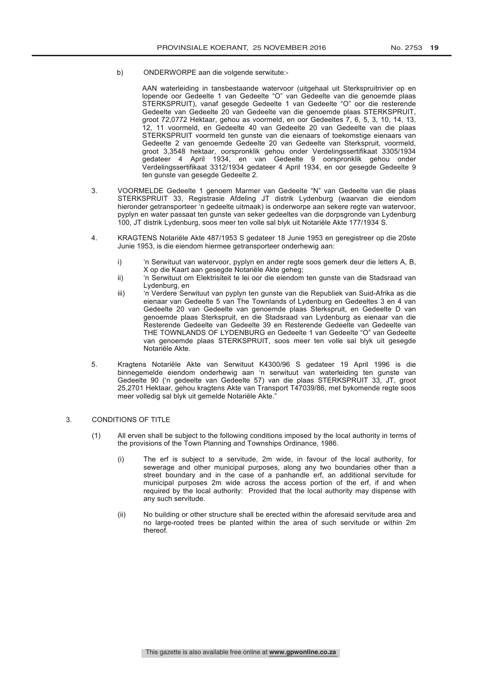b) ONDERWORPE aan die volgende serwitute:-

AAN waterleiding in tansbestaande watervoor (uitgehaal uit Sterkspruitrivier op en lopende oor Gedeelte 1 van Gedeelte "O" van Gedeelte van die genoemde plaas STERKSPRUIT), vanaf gesegde Gedeelte 1 van Gedeelte "O" oor die resterende Gedeelte van Gedeelte 20 van Gedeelte van die genoemde plaas STERKSPRUIT, groot 72,0772 Hektaar, gehou as voormeld, en oor Gedeeltes 7, 6, 5, 3, 10, 14, 13, 12, 11 voormeld, en Gedeelte 40 van Gedeelte 20 van Gedeelte van die plaas STERKSPRUIT voormeld ten gunste van die eienaars of toekomstige eienaars van Gedeelte 2 van genoemde Gedeelte 20 van Gedeelte van Sterkspruit, voormeld, groot 3,3548 hektaar, oorspronklik gehou onder Verdelingssertifikaat 3305/1934 gedateer 4 April 1934, en van Gedeelte 9 oorspronklik gehou onder Verdelingssertifikaat 3312/1934 gedateer 4 April 1934, en oor gesegde Gedeelte 9 ten gunste van gesegde Gedeelte 2.

- 3. VOORMELDE Gedeelte 1 genoem Marmer van Gedeelte "N" van Gedeelte van die plaas STERKSPRUIT 33, Registrasie Afdeling JT distrik Lydenburg (waarvan die eiendom hieronder getransporteer 'n gedeelte uitmaak) is onderworpe aan sekere regte van watervoor, pyplyn en water passaat ten gunste van seker gedeeltes van die dorpsgronde van Lydenburg 100, JT distrik Lydenburg, soos meer ten volle sal blyk uit Notariële Akte 177/1934 S.
- 4. KRAGTENS Notariële Akte 487/1953 S gedateer 18 Junie 1953 en geregistreer op die 20ste Junie 1953, is die eiendom hiermee getransporteer onderhewig aan:
	- i) 'n Serwituut van watervoor, pyplyn en ander regte soos gemerk deur die letters A, B, X op die Kaart aan gesegde Notariële Akte geheg;
	- ii) 'n Serwituut om Elektrisiteit te lei oor die eiendom ten gunste van die Stadsraad van Lydenburg, en
	- iii) 'n Verdere Serwituut van pyplyn ten gunste van die Republiek van Suid-Afrika as die eienaar van Gedeelte 5 van The Townlands of Lydenburg en Gedeeltes 3 en 4 van Gedeelte 20 van Gedeelte van genoemde plaas Sterkspruit, en Gedeelte D van genoemde plaas Sterkspruit, en die Stadsraad van Lydenburg as eienaar van die Resterende Gedeelte van Gedeelte 39 en Resterende Gedeelte van Gedeelte van THE TOWNLANDS OF LYDENBURG en Gedeelte 1 van Gedeelte "O" van Gedeelte van genoemde plaas STERKSPRUIT, soos meer ten volle sal blyk uit gesegde Notariële Akte.
- 5. Kragtens Notariële Akte van Serwituut K4300/96 S gedateer 19 April 1996 is die binnegemelde eiendom onderhewig aan 'n serwituut van waterleiding ten gunste van Gedeelte 90 ('n gedeelte van Gedeelte 57) van die plaas STERKSPRUIT 33, JT, groot 25,2701 Hektaar, gehou kragtens Akte van Transport T47039/86, met bykomende regte soos meer volledig sal blyk uit gemelde Notariële Akte."

#### 3. CONDITIONS OF TITLE

- (1) All erven shall be subject to the following conditions imposed by the local authority in terms of the provisions of the Town Planning and Townships Ordinance, 1986.
	- (i) The erf is subject to a servitude, 2m wide, in favour of the local authority, for sewerage and other municipal purposes, along any two boundaries other than a street boundary and in the case of a panhandle erf, an additional servitude for municipal purposes 2m wide across the access portion of the erf, if and when required by the local authority: Provided that the local authority may dispense with any such servitude.
	- (ii) No building or other structure shall be erected within the aforesaid servitude area and no large-rooted trees be planted within the area of such servitude or within 2m thereof.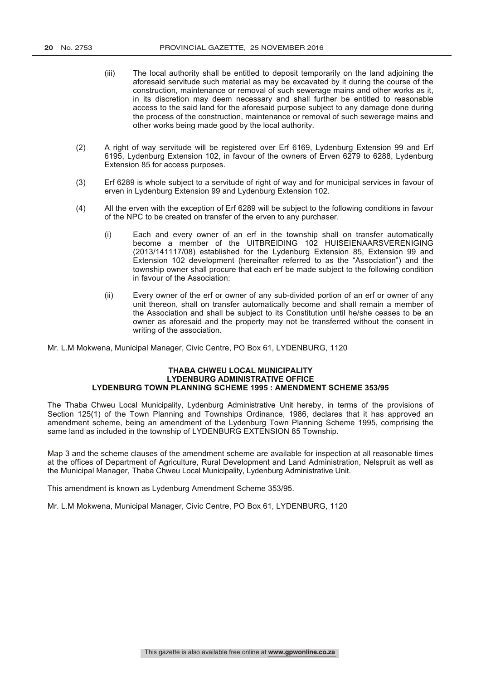- (iii) The local authority shall be entitled to deposit temporarily on the land adjoining the aforesaid servitude such material as may be excavated by it during the course of the construction, maintenance or removal of such sewerage mains and other works as it, in its discretion may deem necessary and shall further be entitled to reasonable access to the said land for the aforesaid purpose subject to any damage done during the process of the construction, maintenance or removal of such sewerage mains and other works being made good by the local authority.
- (2) A right of way servitude will be registered over Erf 6169, Lydenburg Extension 99 and Erf 6195, Lydenburg Extension 102, in favour of the owners of Erven 6279 to 6288, Lydenburg Extension 85 for access purposes.
- (3) Erf 6289 is whole subject to a servitude of right of way and for municipal services in favour of erven in Lydenburg Extension 99 and Lydenburg Extension 102.
- (4) All the erven with the exception of Erf 6289 will be subject to the following conditions in favour of the NPC to be created on transfer of the erven to any purchaser.
	- (i) Each and every owner of an erf in the township shall on transfer automatically become a member of the UITBREIDING 102 HUISEIENAARSVERENIGING (2013/141117/08) established for the Lydenburg Extension 85, Extension 99 and Extension 102 development (hereinafter referred to as the "Association") and the township owner shall procure that each erf be made subject to the following condition in favour of the Association:
	- (ii) Every owner of the erf or owner of any sub-divided portion of an erf or owner of any unit thereon, shall on transfer automatically become and shall remain a member of the Association and shall be subject to its Constitution until he/she ceases to be an owner as aforesaid and the property may not be transferred without the consent in writing of the association.

Mr. L.M Mokwena, Municipal Manager, Civic Centre, PO Box 61, LYDENBURG, 1120

#### **THABA CHWEU LOCAL MUNICIPALITY LYDENBURG ADMINISTRATIVE OFFICE LYDENBURG TOWN PLANNING SCHEME 1995 : AMENDMENT SCHEME 353/95**

The Thaba Chweu Local Municipality, Lydenburg Administrative Unit hereby, in terms of the provisions of Section 125(1) of the Town Planning and Townships Ordinance, 1986, declares that it has approved an amendment scheme, being an amendment of the Lydenburg Town Planning Scheme 1995, comprising the same land as included in the township of LYDENBURG EXTENSION 85 Township.

Map 3 and the scheme clauses of the amendment scheme are available for inspection at all reasonable times at the offices of Department of Agriculture, Rural Development and Land Administration, Nelspruit as well as the Municipal Manager, Thaba Chweu Local Municipality, Lydenburg Administrative Unit.

This amendment is known as Lydenburg Amendment Scheme 353/95.

Mr. L.M Mokwena, Municipal Manager, Civic Centre, PO Box 61, LYDENBURG, 1120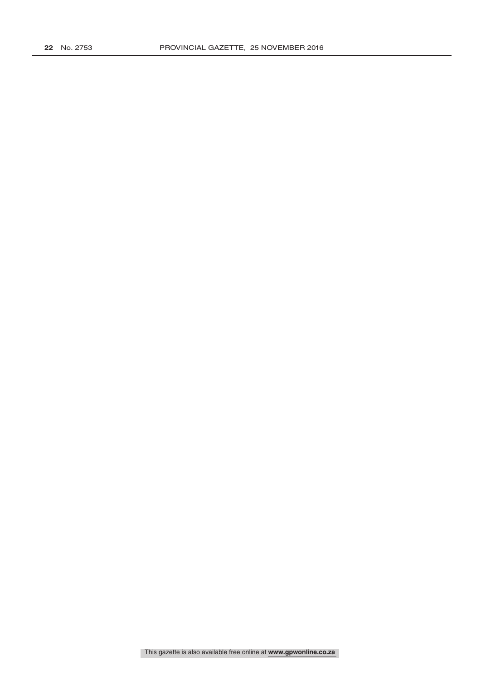This gazette is also available free online at **www.gpwonline.co.za**